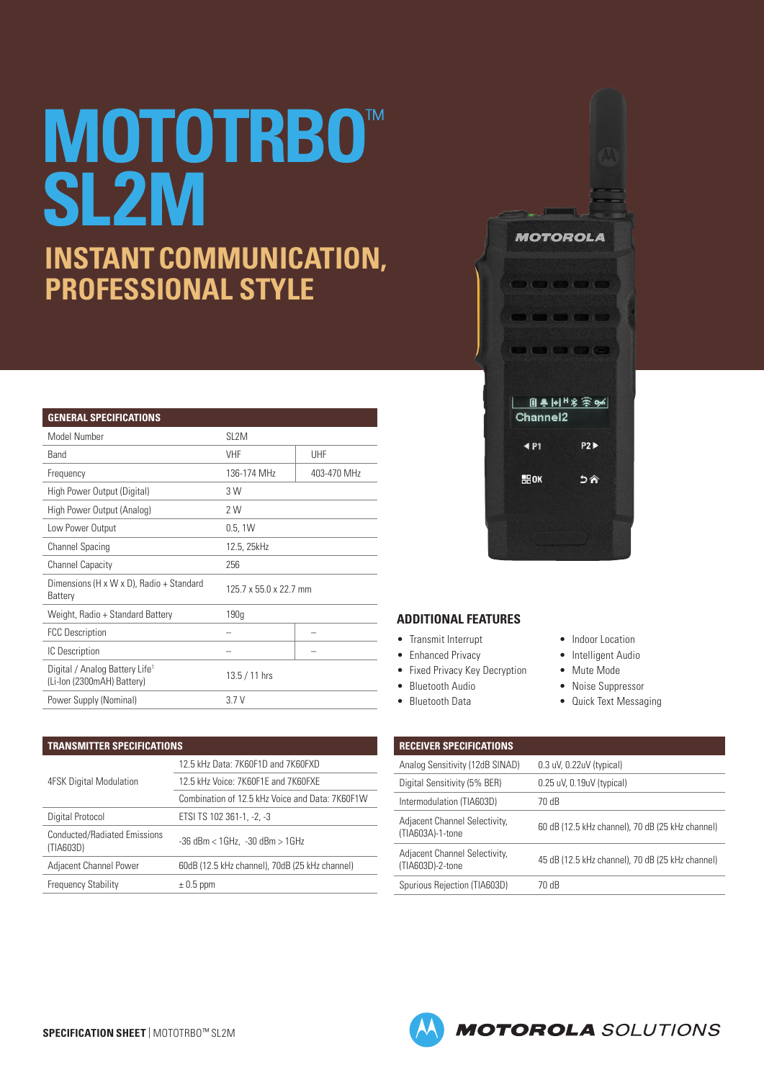## **MOTOTRBO**™ **SL2M INSTANT COMMUNICATION, PROFESSIONAL STYLE**

| <b>GENERAL SPECIFICATIONS</b>                                            |                        |             |  |  |  |  |
|--------------------------------------------------------------------------|------------------------|-------------|--|--|--|--|
| Model Number                                                             | SL <sub>2</sub> M      |             |  |  |  |  |
| <b>Band</b>                                                              | <b>VHF</b>             | UHF         |  |  |  |  |
| Frequency                                                                | 136-174 MHz            | 403-470 MHz |  |  |  |  |
| High Power Output (Digital)                                              | 3 W                    |             |  |  |  |  |
| High Power Output (Analog)                                               | 2 W                    |             |  |  |  |  |
| Low Power Output                                                         | 0.5, 1W                |             |  |  |  |  |
| <b>Channel Spacing</b>                                                   | 12.5, 25kHz            |             |  |  |  |  |
| <b>Channel Capacity</b>                                                  | 256                    |             |  |  |  |  |
| Dimensions (H x W x D), Radio + Standard<br>Battery                      | 125.7 x 55.0 x 22.7 mm |             |  |  |  |  |
| Weight, Radio + Standard Battery                                         | 190 <sub>g</sub>       |             |  |  |  |  |
| <b>FCC Description</b>                                                   |                        |             |  |  |  |  |
| IC Description                                                           |                        |             |  |  |  |  |
| Digital / Analog Battery Life <sup>1</sup><br>(Li-lon (2300mAH) Battery) | 13.5 / 11 hrs          |             |  |  |  |  |
| Power Supply (Nominal)                                                   | 3.7V                   |             |  |  |  |  |

| TRANSMITTER SPECIFICATIONS                |                                                 |  |  |  |
|-------------------------------------------|-------------------------------------------------|--|--|--|
|                                           | 12.5 kHz Data: 7K60F1D and 7K60FXD              |  |  |  |
| 4FSK Digital Modulation                   | 12.5 kHz Voice: 7K60F1E and 7K60FXE             |  |  |  |
|                                           | Combination of 12.5 kHz Voice and Data: 7K60F1W |  |  |  |
| Digital Protocol                          | ETSI TS 102 361-1, -2, -3                       |  |  |  |
| Conducted/Radiated Emissions<br>(TIA603D) | $-36$ dBm < $1$ GHz, $-30$ dBm > $1$ GHz        |  |  |  |
| Adjacent Channel Power                    | 60dB (12.5 kHz channel), 70dB (25 kHz channel)  |  |  |  |
| <b>Frequency Stability</b>                | $\pm$ 0.5 ppm                                   |  |  |  |



## **ADDITIONAL FEATURES**

- Transmit Interrupt
- Enhanced Privacy
- Fixed Privacy Key Decryption
- Bluetooth Audio
- Bluetooth Data
- Indoor Location
- Intelligent Audio
- Mute Mode
- Noise Suppressor
- Quick Text Messaging

| <b>RECEIVER SPECIFICATIONS</b>                    |                                                  |
|---------------------------------------------------|--------------------------------------------------|
| Analog Sensitivity (12dB SINAD)                   | $0.3$ uV, $0.22$ uV (typical)                    |
| Digital Sensitivity (5% BER)                      | $0.25$ uV, $0.19$ uV (typical)                   |
| Intermodulation (TIA603D)                         | 70 dB                                            |
| Adjacent Channel Selectivity,<br>(TIA603A)-1-tone | 60 dB (12.5 kHz channel), 70 dB (25 kHz channel) |
| Adjacent Channel Selectivity,<br>(TIA603D)-2-tone | 45 dB (12.5 kHz channel), 70 dB (25 kHz channel) |
| Spurious Rejection (TIA603D)                      | 70 dB                                            |
|                                                   |                                                  |